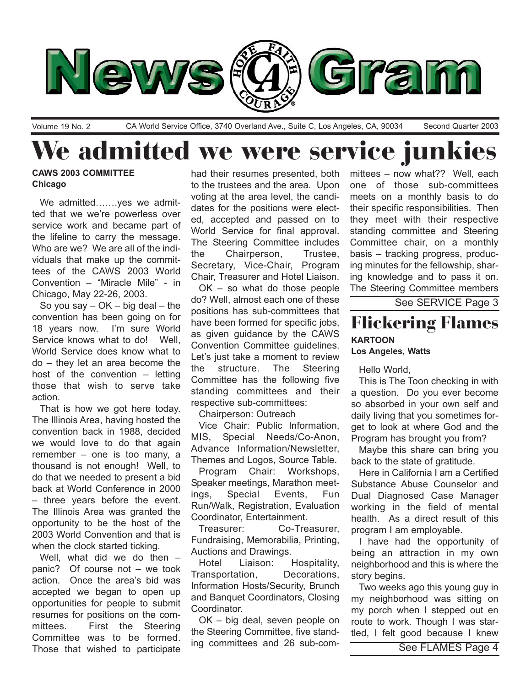

Volume 19 No. 2 CA World Service Office, 3740 Overland Ave., Suite C, Los Angeles, CA, 90034 Second Quarter 2003

# We admitted we were service junkies

## **CAWS 2003 COMMITTEE Chicago**

We admitted.......yes we admitted that we we're powerless over service work and became part of the lifeline to carry the message. Who are we? We are all of the individuals that make up the committees of the CAWS 2003 World Convention – "Miracle Mile" - in Chicago, May 22-26, 2003.

So you say  $-$  OK  $-$  big deal  $-$  the convention has been going on for 18 years now. Iím sure World Service knows what to do! Well, World Service does know what to  $do$  – they let an area become the host of the convention  $-$  letting those that wish to serve take action.

That is how we got here today. The Illinois Area, having hosted the convention back in 1988, decided we would love to do that again remember  $-$  one is too many, a thousand is not enough! Well, to do that we needed to present a bid back at World Conference in 2000  $-$  three years before the event. The Illinois Area was granted the opportunity to be the host of the 2003 World Convention and that is when the clock started ticking.

Well, what did we do then  $$ panic? Of course not  $-$  we took action. Once the area's bid was accepted we began to open up opportunities for people to submit resumes for positions on the committees. First the Steering Committee was to be formed. Those that wished to participate

had their resumes presented, both to the trustees and the area. Upon voting at the area level, the candidates for the positions were elected, accepted and passed on to World Service for final approval. The Steering Committee includes the Chairperson, Trustee, Secretary, Vice-Chair, Program Chair, Treasurer and Hotel Liaison.

 $OK - so$  what do those people do? Well, almost each one of these positions has sub-committees that have been formed for specific jobs, as given guidance by the CAWS Convention Committee guidelines. Let's just take a moment to review the structure. The Steering Committee has the following five standing committees and their respective sub-committees:

Chairperson: Outreach

Vice Chair: Public Information, MIS, Special Needs/Co-Anon, Advance Information/Newsletter, Themes and Logos, Source Table.

Program Chair: Workshops, Speaker meetings, Marathon meetings, Special Events, Fun Run/Walk, Registration, Evaluation Coordinator, Entertainment.

Treasurer: Co-Treasurer, Fundraising, Memorabilia, Printing, Auctions and Drawings.

Hotel Liaison: Hospitality, Transportation, Decorations, Information Hosts/Security, Brunch and Banquet Coordinators, Closing Coordinator.

 $OK - big$  deal, seven people on the Steering Committee, five standing committees and 26 sub-committees  $-$  now what?? Well, each one of those sub-committees meets on a monthly basis to do their specific responsibilities. Then they meet with their respective standing committee and Steering Committee chair, on a monthly basis – tracking progress, producing minutes for the fellowship, sharing knowledge and to pass it on. The Steering Committee members

See SERVICE Page 3

## Flickering Flames **KARTOON Los Angeles, Watts**

Hello World,

This is The Toon checking in with a question. Do you ever become so absorbed in your own self and daily living that you sometimes forget to look at where God and the Program has brought you from?

Maybe this share can bring you back to the state of gratitude.

Here in California I am a Certified Substance Abuse Counselor and Dual Diagnosed Case Manager working in the field of mental health. As a direct result of this program I am employable.

I have had the opportunity of being an attraction in my own neighborhood and this is where the story begins.

Two weeks ago this young guy in my neighborhood was sitting on my porch when I stepped out en route to work. Though I was startled, I felt good because I knew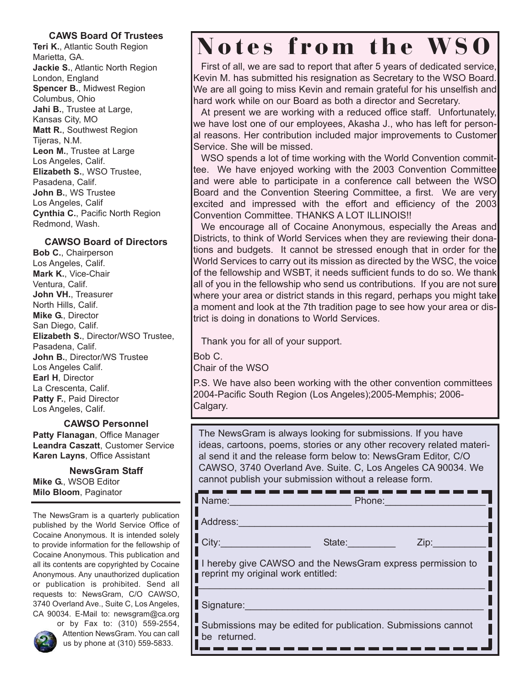## **CAWS Board Of Trustees**

**Teri K.**, Atlantic South Region Marietta, GA. **Jackie S.**, Atlantic North Region London, England **Spencer B.**, Midwest Region Columbus, Ohio **Jahi B.**, Trustee at Large, Kansas City, MO **Matt R.**, Southwest Region Tijeras, N.M. **Leon M.**, Trustee at Large Los Angeles, Calif. **Elizabeth S.**, WSO Trustee, Pasadena, Calif. **John B.**, WS Trustee Los Angeles, Calif **Cynthia C.**, Pacific North Region Redmond, Wash.

## **CAWSO Board of Directors**

**Bob C.**, Chairperson Los Angeles, Calif. **Mark K.**, Vice-Chair Ventura, Calif. **John VH.**, Treasurer North Hills, Calif. **Mike G.**, Director San Diego, Calif. **Elizabeth S.**, Director/WSO Trustee, Pasadena, Calif. **John B.**, Director/WS Trustee Los Angeles Calif. **Earl H**, Director La Crescenta, Calif. Patty F., Paid Director Los Angeles, Calif.

**CAWSO Personnel**

**Patty Flanagan**, Office Manager **Leandra Caszatt**, Customer Service **Karen Layns**, Office Assistant

**NewsGram Staff Mike G.**, WSOB Editor **Milo Bloom**, Paginator

The NewsGram is a quarterly publication published by the World Service Office of Cocaine Anonymous. It is intended solely to provide information for the fellowship of Cocaine Anonymous. This publication and all its contents are copyrighted by Cocaine Anonymous. Any unauthorized duplication or publication is prohibited. Send all requests to: NewsGram, C/O CAWSO, 3740 Overland Ave., Suite C, Los Angeles, CA 90034. E-Mail to: newsgram@ca.org



or by Fax to: (310) 559-2554, Attention NewsGram. You can call us by phone at (310) 559-5833.

## Notes from the WSO

First of all, we are sad to report that after 5 years of dedicated service, Kevin M. has submitted his resignation as Secretary to the WSO Board. We are all going to miss Kevin and remain grateful for his unselfish and hard work while on our Board as both a director and Secretary.

At present we are working with a reduced office staff. Unfortunately, we have lost one of our employees, Akasha J., who has left for personal reasons. Her contribution included major improvements to Customer Service. She will be missed.

WSO spends a lot of time working with the World Convention committee. We have enjoyed working with the 2003 Convention Committee and were able to participate in a conference call between the WSO Board and the Convention Steering Committee, a first. We are very excited and impressed with the effort and efficiency of the 2003 Convention Committee. THANKS A LOT ILLINOIS!!

We encourage all of Cocaine Anonymous, especially the Areas and Districts, to think of World Services when they are reviewing their donations and budgets. It cannot be stressed enough that in order for the World Services to carry out its mission as directed by the WSC, the voice of the fellowship and WSBT, it needs sufficient funds to do so. We thank all of you in the fellowship who send us contributions. If you are not sure where your area or district stands in this regard, perhaps you might take a moment and look at the 7th tradition page to see how your area or district is doing in donations to World Services.

Thank you for all of your support.

Bob C.

Chair of the WSO

P.S. We have also been working with the other convention committees 2004-Pacific South Region (Los Angeles);2005-Memphis; 2006- Calgary.

The NewsGram is always looking for submissions. If you have ideas, cartoons, poems, stories or any other recovery related material send it and the release form below to: NewsGram Editor, C/O CAWSO, 3740 Overland Ave. Suite. C, Los Angeles CA 90034. We cannot publish your submission without a release form.

| Name:                                                                                            | Phone:                       |  |  |  |
|--------------------------------------------------------------------------------------------------|------------------------------|--|--|--|
| Address:                                                                                         |                              |  |  |  |
| City:                                                                                            | State: <b>State:</b><br>Zip: |  |  |  |
| I hereby give CAWSO and the NewsGram express permission to<br>reprint my original work entitled: |                              |  |  |  |
| Signature:                                                                                       |                              |  |  |  |
| Submissions may be edited for publication. Submissions cannot<br>be returned.                    |                              |  |  |  |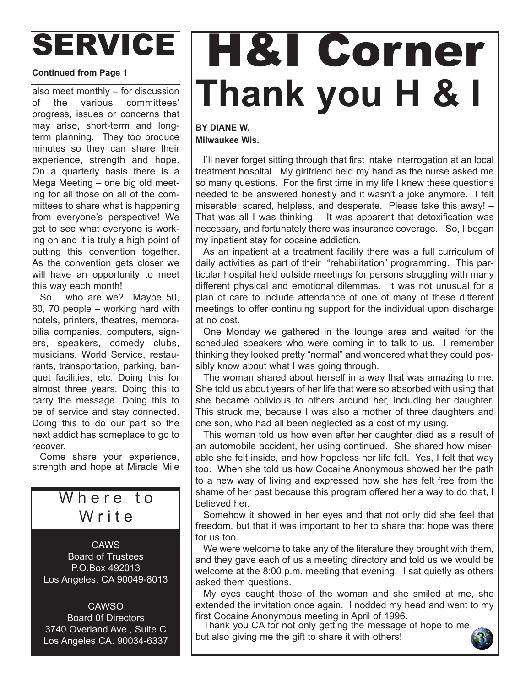# SERVICE

### **Continued from Page 1**

also meet monthly  $-$  for discussion of the various committees' progress, issues or concerns that may arise, short-term and longterm planning. They too produce minutes so they can share their experience, strength and hope. On a quarterly basis there is a Mega Meeting  $-$  one big old meeting for all those on all of the committees to share what is happening from everyone's perspective! We get to see what everyone is working on and it is truly a high point of putting this convention together. As the convention gets closer we will have an opportunity to meet this way each month!

So... who are we? Maybe 50, 60, 70 people  $-$  working hard with hotels, printers, theatres, memorabilia companies, computers, signers, speakers, comedy clubs, musicians, World Service, restaurants, transportation, parking, banquet facilities, etc. Doing this for almost three years. Doing this to carry the message. Doing this to be of service and stay connected. Doing this to do our part so the next addict has someplace to go to recover.

Come share your experience, strength and hope at Miracle Mile

## Where to Write

CAWS Board of Trustees P.O.Box 492013 Los Angeles, CA 90049-8013

**CAWSO** Board 0f Directors 3740 Overland Ave., Suite C Los Angeles CA. 90034-6337

# H&I Corner **Thank you H & I**

## **BY DIANE W. Milwaukee Wis.**

I'll never forget sitting through that first intake interrogation at an local treatment hospital. My girlfriend held my hand as the nurse asked me so many questions. For the first time in my life I knew these questions needed to be answered honestly and it wasn't a joke anymore. I felt miserable, scared, helpless, and desperate. Please take this away!  $-$ That was all I was thinking. It was apparent that detoxification was necessary, and fortunately there was insurance coverage. So, I began my inpatient stay for cocaine addiction.

As an inpatient at a treatment facility there was a full curriculum of daily activities as part of their "rehabilitation" programming. This particular hospital held outside meetings for persons struggling with many different physical and emotional dilemmas. It was not unusual for a plan of care to include attendance of one of many of these different meetings to offer continuing support for the individual upon discharge at no cost.

One Monday we gathered in the lounge area and waited for the scheduled speakers who were coming in to talk to us. I remember thinking they looked pretty "normal" and wondered what they could possibly know about what I was going through.

The woman shared about herself in a way that was amazing to me. She told us about years of her life that were so absorbed with using that she became oblivious to others around her, including her daughter. This struck me, because I was also a mother of three daughters and one son, who had all been neglected as a cost of my using.

This woman told us how even after her daughter died as a result of an automobile accident, her using continued. She shared how miserable she felt inside, and how hopeless her life felt. Yes, I felt that way too. When she told us how Cocaine Anonymous showed her the path to a new way of living and expressed how she has felt free from the shame of her past because this program offered her a way to do that, I believed her.

Somehow it showed in her eyes and that not only did she feel that freedom, but that it was important to her to share that hope was there for us too.

We were welcome to take any of the literature they brought with them, and they gave each of us a meeting directory and told us we would be welcome at the 8:00 p.m. meeting that evening. I sat quietly as others asked them questions.

My eyes caught those of the woman and she smiled at me, she extended the invitation once again. I nodded my head and went to my first Cocaine Anonymous meeting in April of 1996.

Thank you CA for not only getting the message of hope to me but also giving me the gift to share it with others!

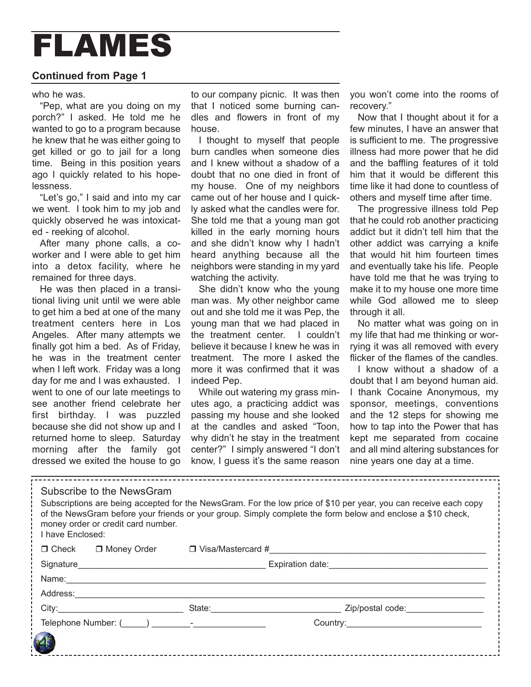## FLAMES

## **Continued from Page 1**

who he was.

"Pep, what are you doing on my porch?î I asked. He told me he wanted to go to a program because he knew that he was either going to get killed or go to jail for a long time. Being in this position years ago I quickly related to his hopelessness.

"Let's go," I said and into my car we went. I took him to my job and quickly observed he was intoxicated - reeking of alcohol.

After many phone calls, a coworker and I were able to get him into a detox facility, where he remained for three days.

He was then placed in a transitional living unit until we were able to get him a bed at one of the many treatment centers here in Los Angeles. After many attempts we finally got him a bed. As of Friday, he was in the treatment center when I left work. Friday was a long day for me and I was exhausted. I went to one of our late meetings to see another friend celebrate her first birthday. I was puzzled because she did not show up and I returned home to sleep. Saturday morning after the family got dressed we exited the house to go

to our company picnic. It was then that I noticed some burning candles and flowers in front of my house.

I thought to myself that people burn candles when someone dies and I knew without a shadow of a doubt that no one died in front of my house. One of my neighbors came out of her house and I quickly asked what the candles were for. She told me that a young man got killed in the early morning hours and she didn't know why I hadn't heard anything because all the neighbors were standing in my yard watching the activity.

She didnít know who the young man was. My other neighbor came out and she told me it was Pep, the young man that we had placed in the treatment center. I couldnít believe it because I knew he was in treatment. The more I asked the more it was confirmed that it was indeed Pep.

While out watering my grass minutes ago, a practicing addict was passing my house and she looked at the candles and asked "Toon, why didn't he stay in the treatment center?" I simply answered "I don't know, I quess it's the same reason

you won't come into the rooms of recovery."

Now that I thought about it for a few minutes, I have an answer that is sufficient to me. The progressive illness had more power that he did and the baffling features of it told him that it would be different this time like it had done to countless of others and myself time after time.

The progressive illness told Pep that he could rob another practicing addict but it didn't tell him that the other addict was carrying a knife that would hit him fourteen times and eventually take his life. People have told me that he was trying to make it to my house one more time while God allowed me to sleep through it all.

No matter what was going on in my life that had me thinking or worrying it was all removed with every flicker of the flames of the candles.

I know without a shadow of a doubt that I am beyond human aid. I thank Cocaine Anonymous, my sponsor, meetings, conventions and the 12 steps for showing me how to tap into the Power that has kept me separated from cocaine and all mind altering substances for nine years one day at a time.

| Subscribe to the NewsGram<br>Subscriptions are being accepted for the NewsGram. For the low price of \$10 per year, you can receive each copy<br>of the NewsGram before your friends or your group. Simply complete the form below and enclose a \$10 check,<br>money order or credit card number.<br>I have Enclosed: |                                                          |                                       |  |  |
|------------------------------------------------------------------------------------------------------------------------------------------------------------------------------------------------------------------------------------------------------------------------------------------------------------------------|----------------------------------------------------------|---------------------------------------|--|--|
|                                                                                                                                                                                                                                                                                                                        | $\Box$ Check $\Box$ Money Order $\Box$ Visa/Mastercard # |                                       |  |  |
|                                                                                                                                                                                                                                                                                                                        | Signature Expiration date:                               |                                       |  |  |
|                                                                                                                                                                                                                                                                                                                        |                                                          |                                       |  |  |
| Address: __________                                                                                                                                                                                                                                                                                                    |                                                          |                                       |  |  |
|                                                                                                                                                                                                                                                                                                                        |                                                          | State: <u>State:</u> Zip/postal code: |  |  |
|                                                                                                                                                                                                                                                                                                                        |                                                          |                                       |  |  |
|                                                                                                                                                                                                                                                                                                                        |                                                          |                                       |  |  |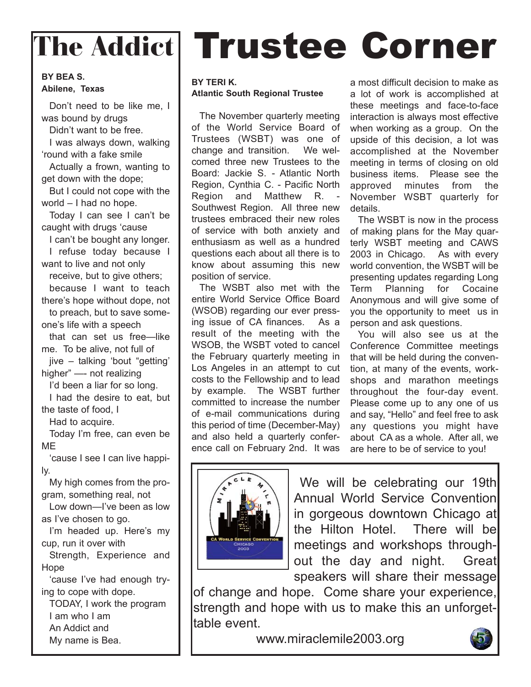## **BY BEA S. Abilene, Texas**

Donít need to be like me, I was bound by drugs

Didn't want to be free.

I was always down, walking fround with a fake smile

Actually a frown, wanting to get down with the dope;

But I could not cope with the world  $-1$  had no hope.

Today I can see I can't be caught with drugs 'cause

I can't be bought any longer. I refuse today because I want to live and not only

receive, but to give others;

because I want to teach there's hope without dope, not to preach, but to save someone's life with a speech

that can set us free-like me. To be alive, not full of

 $jive - talking'$  bout "getting" higher" - not realizing

I'd been a liar for so long.

I had the desire to eat, but the taste of food, I

Had to acquire.

Today Iím free, can even be ME

'cause I see I can live happily.

My high comes from the program, something real, not

Low down-I've been as low as I've chosen to go.

I'm headed up. Here's my cup, run it over with

Strength, Experience and Hope

'cause I've had enough trying to cope with dope.

TODAY, I work the program I am who I am An Addict and My name is Bea.

# The Addict Trustee Corner

## **BY TERI K. Atlantic South Regional Trustee**

The November quarterly meeting of the World Service Board of Trustees (WSBT) was one of change and transition. We welcomed three new Trustees to the Board: Jackie S. - Atlantic North Region, Cynthia C. - Pacific North Region and Matthew R. - Southwest Region. All three new trustees embraced their new roles of service with both anxiety and enthusiasm as well as a hundred questions each about all there is to know about assuming this new position of service.

The WSBT also met with the entire World Service Office Board (WSOB) regarding our ever pressing issue of CA finances. As a result of the meeting with the WSOB, the WSBT voted to cancel the February quarterly meeting in Los Angeles in an attempt to cut costs to the Fellowship and to lead by example. The WSBT further committed to increase the number of e-mail communications during this period of time (December-May) and also held a quarterly conference call on February 2nd. It was

a most difficult decision to make as a lot of work is accomplished at these meetings and face-to-face interaction is always most effective when working as a group. On the upside of this decision, a lot was accomplished at the November meeting in terms of closing on old business items. Please see the approved minutes from the November WSBT quarterly for details.

The WSBT is now in the process of making plans for the May quarterly WSBT meeting and CAWS 2003 in Chicago. As with every world convention, the WSBT will be presenting updates regarding Long Term Planning for Cocaine Anonymous and will give some of you the opportunity to meet us in person and ask questions.

You will also see us at the Conference Committee meetings that will be held during the convention, at many of the events, workshops and marathon meetings throughout the four-day event. Please come up to any one of us and say, "Hello" and feel free to ask any questions you might have about CA as a whole. After all, we are here to be of service to you!



We will be celebrating our 19th Annual World Service Convention in gorgeous downtown Chicago at the Hilton Hotel. There will be meetings and workshops throughout the day and night. Great speakers will share their message

of change and hope. Come share your experience, strength and hope with us to make this an unforgettable event.

www.miraclemile2003.org

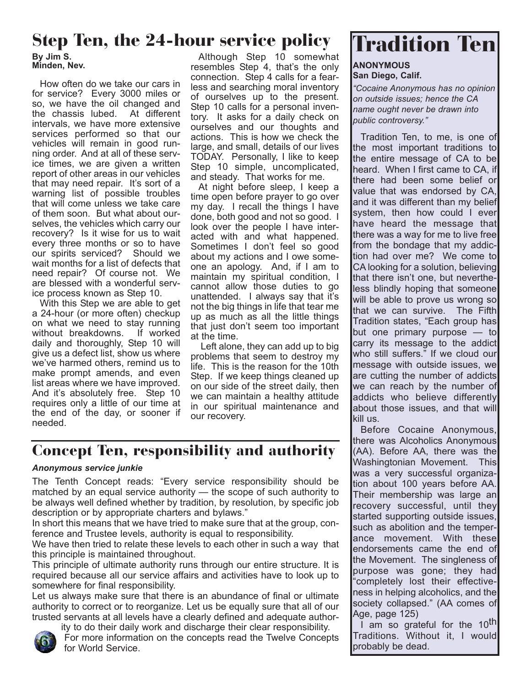## Step Ten, the 24-hour service policy | **Tradition Ten**

**By Jim S. Minden, Nev.**

How often do we take our cars in for service? Every 3000 miles or so, we have the oil changed and the chassis lubed. At different intervals, we have more extensive services performed so that our vehicles will remain in good running order. And at all of these service times, we are given a written report of other areas in our vehicles that may need repair. Itís sort of a warning list of possible troubles that will come unless we take care of them soon. But what about ourselves, the vehicles which carry our recovery? Is it wise for us to wait every three months or so to have our spirits serviced? Should we wait months for a list of defects that need repair? Of course not. We are blessed with a wonderful service process known as Step 10.

With this Step we are able to get a 24-hour (or more often) checkup on what we need to stay running without breakdowns. If worked daily and thoroughly, Step 10 will give us a defect list, show us where we've harmed others, remind us to make prompt amends, and even list areas where we have improved. And it's absolutely free. Step 10 requires only a little of our time at the end of the day, or sooner if needed.

Although Step 10 somewhat resembles Step 4, that's the only connection. Step 4 calls for a fearless and searching moral inventory of ourselves up to the present. Step 10 calls for a personal inventory. It asks for a daily check on ourselves and our thoughts and actions. This is how we check the large, and small, details of our lives TODAY. Personally, I like to keep Step 10 simple, uncomplicated, and steady. That works for me.

At night before sleep, I keep a time open before prayer to go over my day. I recall the things I have done, both good and not so good. I look over the people I have interacted with and what happened. Sometimes I don't feel so good about my actions and I owe someone an apology. And, if I am to maintain my spiritual condition, I cannot allow those duties to go unattended. I always say that it's not the big things in life that tear me up as much as all the little things that just donít seem too important at the time.

Left alone, they can add up to big problems that seem to destroy my life. This is the reason for the 10th Step. If we keep things cleaned up on our side of the street daily, then we can maintain a healthy attitude in our spiritual maintenance and our recovery.

## Concept Ten, responsibility and authority

## *Anonymous service junkie*

The Tenth Concept reads: "Every service responsibility should be matched by an equal service authority  $-$  the scope of such authority to be always well defined whether by tradition, by resolution, by specific job description or by appropriate charters and bylaws."

In short this means that we have tried to make sure that at the group, conference and Trustee levels, authority is equal to responsibility.

We have then tried to relate these levels to each other in such a way that this principle is maintained throughout.

This principle of ultimate authority runs through our entire structure. It is required because all our service affairs and activities have to look up to somewhere for final responsibility.

Let us always make sure that there is an abundance of final or ultimate authority to correct or to reorganize. Let us be equally sure that all of our trusted servants at all levels have a clearly defined and adequate author-



ity to do their daily work and discharge their clear responsibility. For more information on the concepts read the Twelve Concepts for World Service.

### **ANONYMOUS San Diego, Calif.**

*ìCocaine Anonymous has no opinion on outside issues; hence the CA name ought never be drawn into* public controversy.<sup>"</sup>

Tradition Ten, to me, is one of the most important traditions to the entire message of CA to be heard. When I first came to CA, if there had been some belief or value that was endorsed by CA, and it was different than my belief system, then how could I ever have heard the message that there was a way for me to live free from the bondage that my addiction had over me? We come to CA looking for a solution, believing that there isn't one, but nevertheless blindly hoping that someone will be able to prove us wrong so that we can survive. The Fifth Tradition states, "Each group has but one primary purpose  $-$  to carry its message to the addict who still suffers." If we cloud our message with outside issues, we are cutting the number of addicts we can reach by the number of addicts who believe differently about those issues, and that will kill us.

Before Cocaine Anonymous, there was Alcoholics Anonymous (AA). Before AA, there was the Washingtonian Movement. This was a very successful organization about 100 years before AA. Their membership was large an recovery successful, until they started supporting outside issues, such as abolition and the temperlance movement. With thesel endorsements came the end of the Movement. The singleness of purpose was gone; they had "completely lost their effectiveness in helping alcoholics, and the society collapsed." (AA comes of Age, page 125)

I am so grateful for the 10<sup>th</sup> Traditions. Without it, I would probably be dead.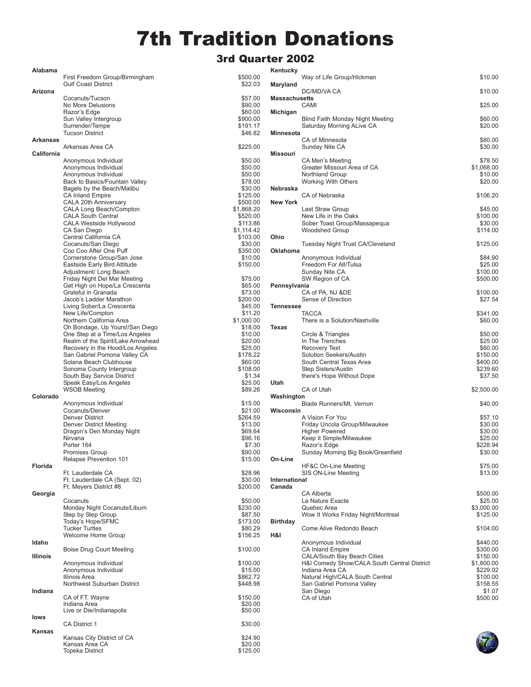## 7th Tradition Donations

## 3rd Quarter 2002

 $$500.00$  $$22.03$ 

 $$200.00$ 

 $$50.00$ \$230.00  $$87.50$ \$173.00 \$80.29  $$156.25$ 

 $$100.00$ 

 $$100.00$  $$15.00$ \$862.72  $$448.98$ 

 $$150.00$ 

 $$30.00$ 

 $$24.90  
\n$20.00  
\n$125.00$ 

|                 |                                                               | sra Qua                |
|-----------------|---------------------------------------------------------------|------------------------|
| Alabama         | First Freedom Group/Birmingham                                | \$500.00               |
|                 | <b>Gulf Coast District</b>                                    | \$22.03                |
| Arizona         | Cocanuts/Tucson                                               | \$57.00                |
|                 | No More Delusions                                             | \$90.00                |
|                 | Razor's Edge                                                  | \$60.00                |
|                 | Sun Valley Intergroup<br>Surrender/Tempe                      | \$900.00<br>\$191.17   |
|                 | <b>Tucson District</b>                                        | \$46.82                |
| Arkansas        | Arkansas Area CA                                              |                        |
| California      |                                                               | \$225.00               |
|                 | Anonymous Individual                                          | \$50.00                |
|                 | Anonymous Individual<br>Anonymous Individual                  | \$50.00<br>\$50.00     |
|                 | Back to Basics/Fountain Valley                                | \$78.00                |
|                 | Bagels by the Beach/Malibu                                    | \$30.00                |
|                 | <b>CA Inland Empire</b>                                       | \$125.00               |
|                 | CALA 20th Anniversary<br>CALA Long Beach/Compton              | \$500.00<br>\$1,868.20 |
|                 | <b>CALA South Central</b>                                     | \$520.00               |
|                 | CALA Westside Hollywood                                       | \$113.86               |
|                 | CA San Diego                                                  | \$1.114.42             |
|                 | Central California CA<br>Cocanuts/San Diego                   | \$103.00<br>\$30.00    |
|                 | Coo Coo After One Puff                                        | \$350.00               |
|                 | Cornerstone Group/San Jose                                    | \$10.00                |
|                 | Eastside Early Bird Attitude                                  | \$150.00               |
|                 | Adjustment/ Long Beach                                        |                        |
|                 | Friday Night Del Mar Meeting<br>Get High on Hope/La Crescenta | \$75.00<br>\$65.00     |
|                 | Grateful in Granada                                           | \$73.00                |
|                 | Jacob's Ladder Marathon                                       | \$200.00               |
|                 | Living Sober/La Crescenta                                     | \$45.00                |
|                 | New Life/Compton                                              | \$11.20                |
|                 | Northern California Area<br>Oh Bondage, Up Yours!/San Diego   | \$1,000.00<br>\$18.00  |
|                 | One Step at a Time/Los Angeles                                | \$10.00                |
|                 | Realm of the Spirit/Lake Arrowhead                            | \$20.00                |
|                 | Recovery in the Hood/Los Angeles                              | \$25.00                |
|                 | San Gabriel Pomona Valley CA                                  | \$178.22               |
|                 | Solana Beach Clubhouse<br>Sonoma County Intergroup            | \$60.00<br>\$108.00    |
|                 | South Bay Service District                                    | \$1.34                 |
|                 | Speak Easy/Los Angeles                                        | \$25.00                |
| Colorado        | <b>WSOB Meeting</b>                                           | \$89.26                |
|                 | Anonymous Individual                                          | \$15.00                |
|                 | Cocanuts/Denver                                               | \$21.00                |
|                 | <b>Denver District</b>                                        | \$264.59               |
|                 | Denver District Meeting<br>Dragon's Den Monday Night          | \$13.00<br>\$69.64     |
|                 | Nirvana                                                       | \$96.16                |
|                 | Porter 164                                                    | \$7.30                 |
|                 | <b>Promises Group</b>                                         | \$90.00                |
| Florida         | Relapse Prevention 101                                        | \$15.00                |
|                 | Ft. Lauderdale CA                                             | \$28.96                |
|                 | Ft. Lauderdale CA (Sept. 02)<br>Ft. Meyers District #8        | \$30.00<br>\$200.00    |
| Georgia         |                                                               |                        |
|                 | Cocanuts                                                      | \$50.00                |
|                 | Monday Night Cocanuts/Liburn                                  | \$230.00               |
|                 | Step by Step Group<br>Today's Hope/SFMC                       | \$87.50<br>\$173.00    |
|                 | <b>Tucker Turtles</b>                                         | \$80.29                |
|                 | Welcome Home Group                                            | \$156.25               |
| Idaho           | <b>Boise Drug Court Meeting</b>                               | \$100.00               |
| <b>Illinois</b> |                                                               |                        |
|                 | Anonymous Individual<br>Anonymous Individual                  | \$100.00<br>\$15.00    |
|                 | Illinois Area                                                 | \$862.72               |
|                 | Northwest Suburban District                                   | \$448.98               |
| Indiana         | CA of FT. Wayne                                               | \$150.00               |
|                 | Indiana Area                                                  | \$20.00                |
| lowa            | Live or Die/Indianapolis                                      | \$50.00                |
|                 | <b>CA District 1</b>                                          | \$30.00                |
| Kansas          | Kansas City District of CA                                    | \$24.90                |
|                 | Kansas Area CA                                                | \$20.00                |

Topeka District

| Kentucky             |                                                              |                       |
|----------------------|--------------------------------------------------------------|-----------------------|
|                      | Way of Life Group/Hickman                                    | \$10.00               |
| Maryland             | DC/MD/VA CA                                                  |                       |
| <b>Massachusetts</b> |                                                              | \$10.00               |
|                      | CAMI                                                         | \$25.00               |
| Michigan             |                                                              |                       |
|                      | Blind Faith Monday Night Meeting                             | \$60.00               |
|                      | Saturday Morning ALive CA                                    | \$20.00               |
| Minnesota            | CA of Minnesota                                              | \$80.00               |
|                      | Sunday Nite CA                                               | \$30.00               |
| <b>Missouri</b>      |                                                              |                       |
|                      | CA Men's Meeting                                             | \$78.50               |
|                      | Greater Missouri Area of CA                                  | \$1,068.00            |
|                      | Northland Group<br>Working With Others                       | \$10.00<br>\$20.00    |
| Nebraska             |                                                              |                       |
|                      | CA of Nebraska                                               | \$106.20              |
| <b>New York</b>      |                                                              |                       |
|                      | Last Straw Group                                             | \$45.00               |
|                      | New Life in the Oaks                                         | \$100.00<br>\$30.00   |
|                      | Sober Toast Group/Massapequa<br><b>Woodshed Group</b>        | \$114.00              |
| Ohio                 |                                                              |                       |
|                      | Tuesday Night Trust CA/Cleveland                             | \$125.00              |
| Oklahoma             |                                                              |                       |
|                      | Anonymous Individual<br>Freedom For All/Tulsa                | \$84.90<br>\$25.00    |
|                      | Sunday Nite CA                                               | \$100.00              |
|                      | SW Region of CA                                              | \$500.00              |
| Pennsylvania         |                                                              |                       |
|                      | CA of PA, NJ &DE                                             | \$100.00              |
| Tennessee            | Sense of Direction                                           | \$27.54               |
|                      | <b>TACCA</b>                                                 | \$341.00              |
|                      | There is a Solution/Nashville                                | \$60.00               |
| Texas                |                                                              |                       |
|                      | Circle & Triangles                                           | \$50.00               |
|                      | In The Trenches<br><b>Recovery Text</b>                      | \$25.00<br>\$60.00    |
|                      | Solution Seekers/Austin                                      | \$150.00              |
|                      | South Central Texas Area                                     | \$400.00              |
|                      | Step Sisters/Austin                                          | \$239.60              |
|                      | there's Hope Without Dope                                    | \$37.50               |
| Utah                 | CA of Utah                                                   | \$2,500.00            |
| Washington           |                                                              |                       |
|                      | Blade Runners/Mt. Vernon                                     | \$40.00               |
| Wisconsin            |                                                              |                       |
|                      | A Vision For You<br>Friday Uncola Group/Milwaukee            | \$57.10               |
|                      | <b>Higher Powered</b>                                        | \$30.00<br>\$30.00    |
|                      | Keep it Simple/Milwaukee                                     | \$25.00               |
|                      | Razor's Edge                                                 | \$228.94              |
|                      | Sunday Morning Big Book/Greenfield                           | \$30.00               |
| On-Line              | HF&C On-Line Meeting                                         | \$75.00               |
|                      | SIS ON-Line Meeting                                          | \$13.00               |
| International        |                                                              |                       |
| Canada               |                                                              |                       |
|                      | CA Alberta<br>La Nature Exacte                               | \$500.00              |
|                      | Quebec Area                                                  | \$25.00<br>\$3,000.00 |
|                      | Wow It Works Friday Night/Montreal                           | \$125.00              |
| Birthday             |                                                              |                       |
|                      | Come Alive Redondo Beach                                     | \$104.00              |
| H&I                  | Anonymous Individual                                         | \$440.00              |
|                      | <b>CA Inland Empire</b>                                      | \$300.00              |
|                      | CALA/South Bay Beach Cities                                  | \$150.00              |
|                      | H&I Comedy Show/CALA South Central District                  | \$1,800.00            |
|                      | Indiana Area CA                                              | \$229.02              |
|                      | Natural High/CALA South Central<br>San Gabriel Pomona Valley | \$100.00<br>\$158.55  |
|                      | San Diego                                                    | \$1.07                |
|                      | CA of Utah                                                   | \$500.00              |
|                      |                                                              |                       |